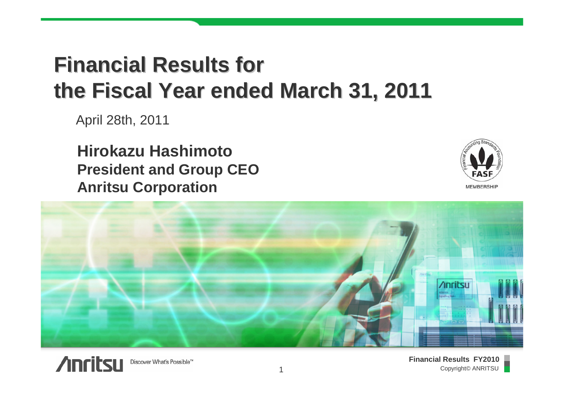## **Financial Results for Financial Results for the Fiscal Year ended March 31, 2011 the Fiscal Year ended March 31, 2011**

April 28th, 2011

**Hirokazu HashimotoPresident and Group CEO Anritsu Corporation**



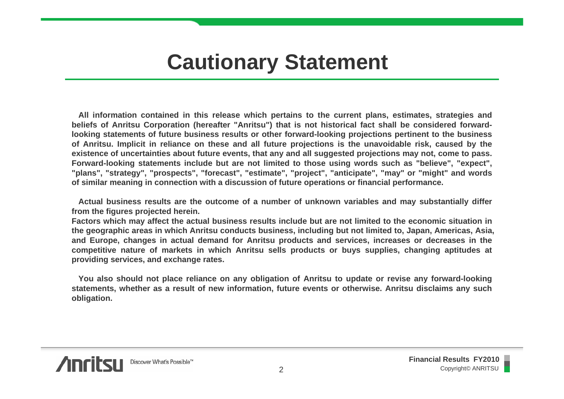## **Cautionary Statement**

**All information contained in this release which pertains to the current plans, estimates, strategies and beliefs of Anritsu Corporation (hereafter "Anritsu") that is not historical fact shall be considered forwardlooking statements of future business results or other forward-looking projections pertinent to the business of Anritsu. Implicit in reliance on these and all future projections is the unavoidable risk, caused by the existence of uncertainties about future events, that any and all suggested projections may not, come to pass. Forward-looking statements include but are not limited to those using words such as "believe", "expect", "plans", "strategy", "prospects", "forecast", "estimate", "project", "anticipate", "may" or "might" and words of similar meaning in connection with a discussion of future operations or financial performance.**

**Actual business results are the outcome of a number of unknown variables and may substantially differ from the figures projected herein.**

**Factors which may affect the actual business results include but are not limited to the economic situation in the geographic areas in which Anritsu conducts business, including but not limited to, Japan, Americas, Asia, and Europe, changes in actual demand for Anritsu products and services, increases or decreases in the competitive nature of markets in which Anritsu sells products or buys supplies, changing aptitudes at providing services, and exchange rates.**

**You also should not place reliance on any obligation of Anritsu to update or revise any forward-looking statements, whether as a result of new information, future events or otherwise. Anritsu disclaims any such obligation.**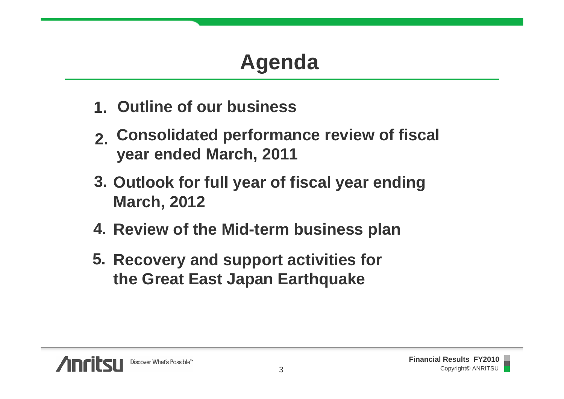# **Agenda**

- **1.Outline of our business**
- **2.Consolidated performance review of fiscal year ended March, 2011**
- **3. Outlook for full year of fiscal year ending March, 2012**
- **4. Review of the Mid-term business plan**
- **5. Recovery and support activities for the Great East Japan Earthquake**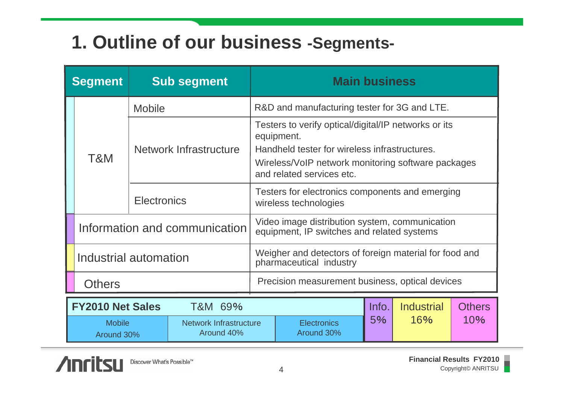#### **1. Outline of our business -Segments-**

| <b>Segment</b>                                                             |                                    | <b>Sub segment</b>     |                                                                                              | <b>Main business</b>                                                            |     |       |                   |               |
|----------------------------------------------------------------------------|------------------------------------|------------------------|----------------------------------------------------------------------------------------------|---------------------------------------------------------------------------------|-----|-------|-------------------|---------------|
|                                                                            | T&M                                | <b>Mobile</b>          |                                                                                              | R&D and manufacturing tester for 3G and LTE.                                    |     |       |                   |               |
|                                                                            |                                    | Network Infrastructure |                                                                                              | Testers to verify optical/digital/IP networks or its<br>equipment.              |     |       |                   |               |
|                                                                            |                                    |                        |                                                                                              | Handheld tester for wireless infrastructures.                                   |     |       |                   |               |
|                                                                            |                                    |                        |                                                                                              | Wireless/VoIP network monitoring software packages<br>and related services etc. |     |       |                   |               |
|                                                                            |                                    | <b>Electronics</b>     |                                                                                              | Testers for electronics components and emerging<br>wireless technologies        |     |       |                   |               |
| Information and communication                                              |                                    |                        | Video image distribution system, communication<br>equipment, IP switches and related systems |                                                                                 |     |       |                   |               |
| Industrial automation                                                      |                                    |                        | Weigher and detectors of foreign material for food and<br>pharmaceutical industry            |                                                                                 |     |       |                   |               |
| <b>Others</b>                                                              |                                    |                        | Precision measurement business, optical devices                                              |                                                                                 |     |       |                   |               |
|                                                                            | <b>FY2010 Net Sales</b><br>T&M 69% |                        |                                                                                              |                                                                                 |     | Info. | <b>Industrial</b> | <b>Others</b> |
| <b>Mobile</b><br><b>Network Infrastructure</b><br>Around 40%<br>Around 30% |                                    |                        | <b>Electronics</b><br>Around 30%                                                             | 5%                                                                              | 16% | 10%   |                   |               |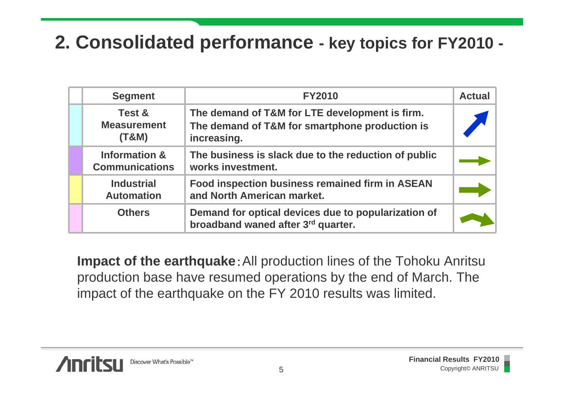#### **2. Consolidated performance - key topics for FY2010 -**

| <b>Segment</b>                                    | <b>FY2010</b>                                                                                                   | <b>Actual</b> |
|---------------------------------------------------|-----------------------------------------------------------------------------------------------------------------|---------------|
| Test &<br><b>Measurement</b><br>(T&M)             | The demand of T&M for LTE development is firm.<br>The demand of T&M for smartphone production is<br>increasing. |               |
| <b>Information &amp;</b><br><b>Communications</b> | The business is slack due to the reduction of public<br>works investment.                                       |               |
| <b>Industrial</b><br><b>Automation</b>            | Food inspection business remained firm in ASEAN<br>and North American market.                                   |               |
| <b>Others</b>                                     | Demand for optical devices due to popularization of<br>broadband waned after 3rd quarter.                       |               |

**Impact of the earthquake**: All production lines of the Tohoku Anritsu production base have resumed operations by the end of March. The impact of the earthquake on the FY 2010 results was limited.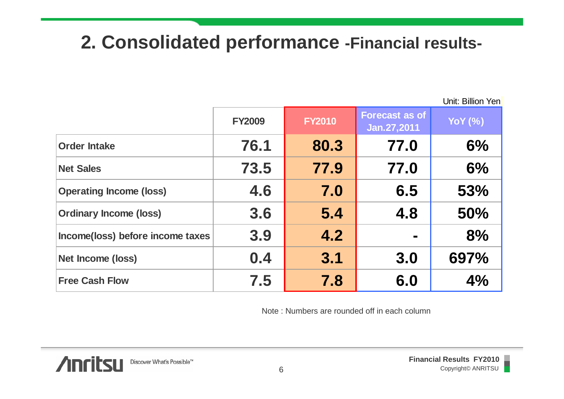#### **2. Consolidated performance -Financial results-**

Unit: Billion Yen

|                                  | <b>FY2009</b> | <b>FY2010</b> | <b>Forecast as of</b><br>Jan. 27, 2011 | <b>YoY</b> (%) |
|----------------------------------|---------------|---------------|----------------------------------------|----------------|
| <b>Order Intake</b>              | 76.1          | 80.3          | 77.0                                   | 6%             |
| <b>Net Sales</b>                 | 73.5          | 77.9          | 77.0                                   | 6%             |
| <b>Operating Income (loss)</b>   | 4.6           | 7.0           | 6.5                                    | 53%            |
| <b>Ordinary Income (loss)</b>    | 3.6           | 5.4           | 4.8                                    | 50%            |
| Income(loss) before income taxes | 3.9           | 4.2           | <b>The State</b>                       | 8%             |
| Net Income (loss)                | 0.4           | 3.1           | 3.0                                    | 697%           |
| <b>Free Cash Flow</b>            | 7.5           | 7.8           | 6.0                                    | 4%             |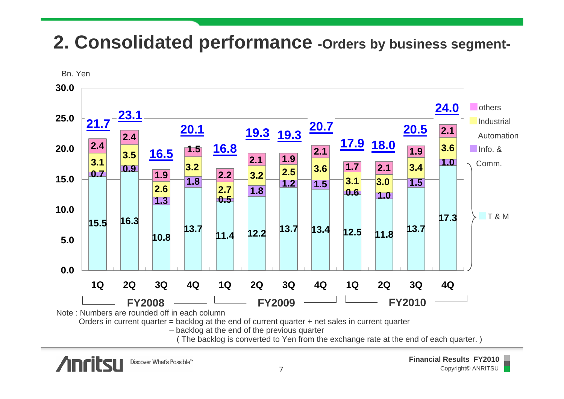#### **2. Consolidated performance -Orders by business segment-**

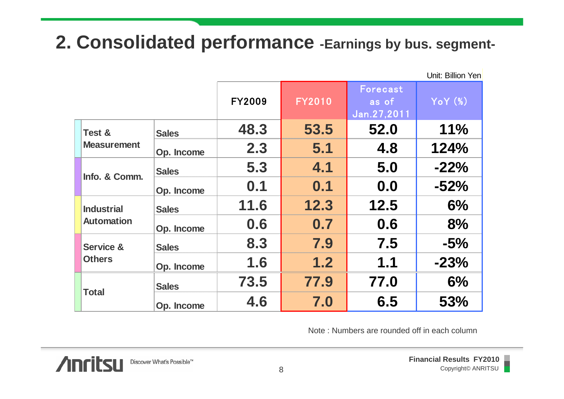#### **2. Consolidated performance -Earnings by bus. segment-**

|  |                                        |              |               |               |                                              | Unit: Billion Yen |
|--|----------------------------------------|--------------|---------------|---------------|----------------------------------------------|-------------------|
|  |                                        |              | <b>FY2009</b> | <b>FY2010</b> | Forecast<br>as of<br>Jan.27,2011             | $YoY$ $(*)$       |
|  | Test &<br><b>Measurement</b>           | <b>Sales</b> | 48.3          | 53.5          | 52.0                                         | 11%               |
|  |                                        | Op. Income   | 2.3           | 5.1           | 4.8                                          | 124%              |
|  | Info. & Comm.                          | <b>Sales</b> | 5.3           | 4.1           | 5.0                                          | $-22%$            |
|  |                                        | Op. Income   | 0.1           | 0.1           | 0.0                                          | $-52%$            |
|  | <b>Industrial</b><br><b>Automation</b> | <b>Sales</b> | 11.6          | 12.3          | 12.5                                         | 6%                |
|  |                                        | Op. Income   | 0.6           | 0.7           | 0.6                                          | 8%                |
|  | <b>Service &amp;</b><br><b>Others</b>  | <b>Sales</b> | 8.3           | 7.9           | 7.5                                          | $-5%$             |
|  |                                        | Op. Income   | 1.6           | 1.2           | 1.1                                          | $-23%$            |
|  | <b>Total</b>                           | <b>Sales</b> | 73.5          | 77.9          | 77.0                                         | 6%                |
|  |                                        | Op. Income   | 4.6           | 7.0           | 6.5                                          | 53%               |
|  |                                        |              |               |               | Note: Numbers are rounded off in each column |                   |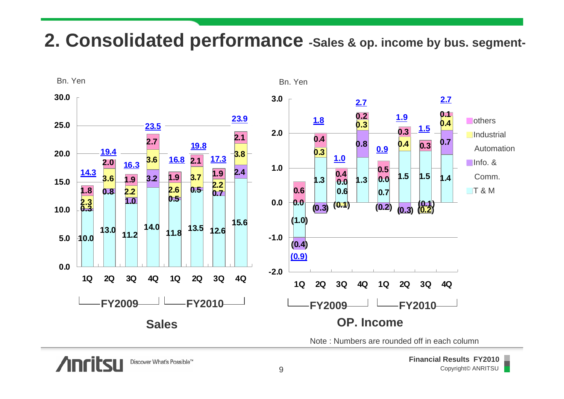#### **2. Consolidated performance -Sales & op. income by bus. segment-**

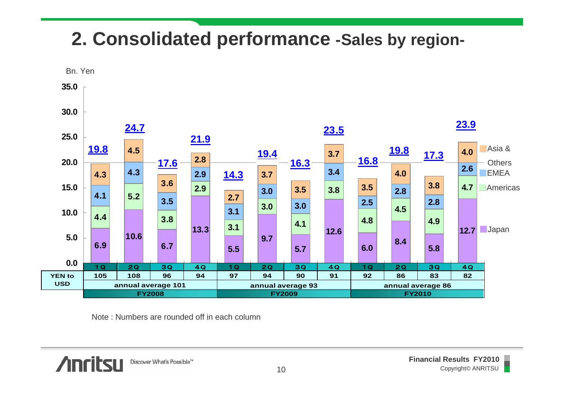### **2. Consolidated performance -Sales by region-**

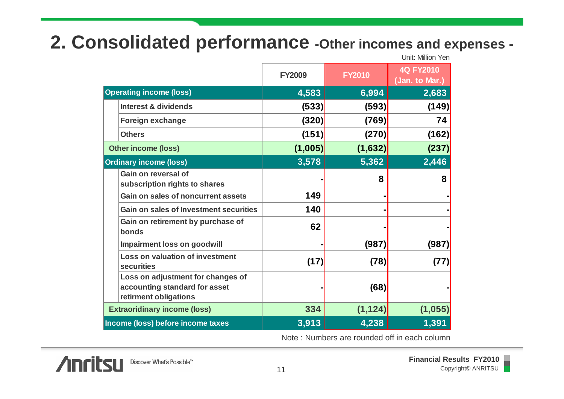#### **2. Consolidated performance -Other incomes and expenses -**

|                                                                                             | Unit: Million Yen |               |                                    |  |
|---------------------------------------------------------------------------------------------|-------------------|---------------|------------------------------------|--|
|                                                                                             | <b>FY2009</b>     | <b>FY2010</b> | <b>4Q FY2010</b><br>(Jan. to Mar.) |  |
| <b>Operating income (loss)</b>                                                              | 4,583             | 6,994         | 2,683                              |  |
| <b>Interest &amp; dividends</b>                                                             | (533)             | (593)         | (149)                              |  |
| Foreign exchange                                                                            | (320)             | (769)         | 74                                 |  |
| <b>Others</b>                                                                               | (151)             | (270)         | (162)                              |  |
| <b>Other income (loss)</b>                                                                  | (1,005)           | (1,632)       | (237)                              |  |
| <b>Ordinary income (loss)</b>                                                               | 3,578             | 5,362         | 2,446                              |  |
| Gain on reversal of<br>subscription rights to shares                                        |                   | 8             | 8                                  |  |
| Gain on sales of noncurrent assets                                                          | 149               |               |                                    |  |
| <b>Gain on sales of Investment securities</b>                                               | 140               |               |                                    |  |
| Gain on retirement by purchase of<br>bonds                                                  | 62                |               |                                    |  |
| <b>Impairment loss on goodwill</b>                                                          |                   | (987)         | (987)                              |  |
| <b>Loss on valuation of investment</b><br><b>securities</b>                                 | (17)              | (78)          | (77)                               |  |
| Loss on adjustment for changes of<br>accounting standard for asset<br>retirment obligations |                   | (68)          |                                    |  |
| <b>Extraoridinary income (loss)</b>                                                         | 334               | (1, 124)      | (1,055)                            |  |
| Income (loss) before income taxes                                                           | 3,913             | 4,238         | 1,391                              |  |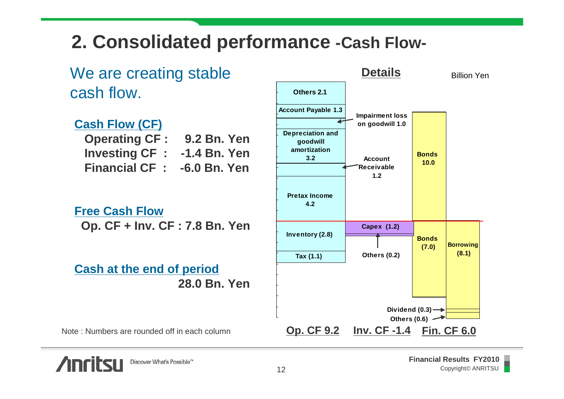#### **2. Consolidated performance -Cash Flow-**



**Anritsu**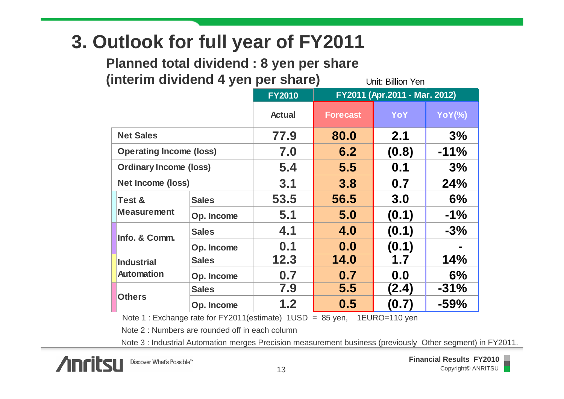#### **3. Outlook for full year of FY2011**

**Planned total dividend : 8 yen per share (interim dividend 4 yen per share)**

Unit: Billion Yen

|                                |              | <b>FY2010</b> | FY2011 (Apr.2011 - Mar. 2012) |       |               |
|--------------------------------|--------------|---------------|-------------------------------|-------|---------------|
|                                |              | <b>Actual</b> | <b>Forecast</b>               | YoY   | <b>YoY(%)</b> |
| <b>Net Sales</b>               |              | 77.9          | 80.0                          | 2.1   | 3%            |
| <b>Operating Income (loss)</b> |              | 7.0           | 6.2                           | (0.8) | $-11%$        |
| <b>Ordinary Income (loss)</b>  |              | 5.4           | 5.5                           | 0.1   | 3%            |
| <b>Net Income (loss)</b>       |              | 3.1           | 3.8                           | 0.7   | 24%           |
| Test &                         | <b>Sales</b> | 53.5          | 56.5                          | 3.0   | 6%            |
| <b>Measurement</b>             | Op. Income   | 5.1           | 5.0                           | (0.1) | $-1\%$        |
| Info. & Comm.                  | <b>Sales</b> | 4.1           | 4.0                           | (0.1) | $-3%$         |
|                                | Op. Income   | 0.1           | 0.0                           | (0.1) |               |
| <b>Industrial</b>              | <b>Sales</b> | 12.3          | 14.0                          | 1.7   | 14%           |
| <b>Automation</b>              | Op. Income   | 0.7           | 0.7                           | 0.0   | 6%            |
|                                | <b>Sales</b> | 7.9           | 5.5                           | (2.4) | $-31%$        |
| <b>Others</b>                  | Op. Income   | 1.2           | 0.5                           | (0.7) | $-59%$        |

Note 1 : Exchange rate for FY2011(estimate) 1USD = 85 yen, 1EURO=110 yen

Note 2 : Numbers are rounded off in each column

Note 3 : Industrial Automation merges Precision measurement business (previously Other segment) in FY2011.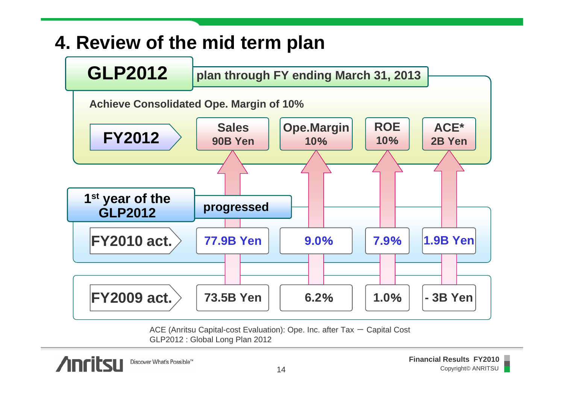## **4. Review of the mid term plan**



ACE (Anritsu Capital-cost Evaluation): Ope. Inc. after Tax  $-$  Capital Cost GLP2012 : Global Long Plan 2012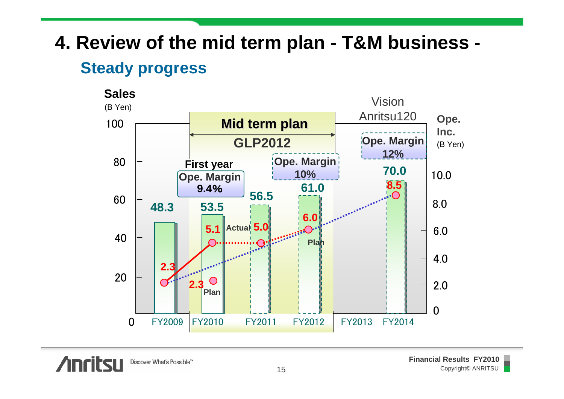#### **4. Review of the mid term plan - T&M business - Steady progress**

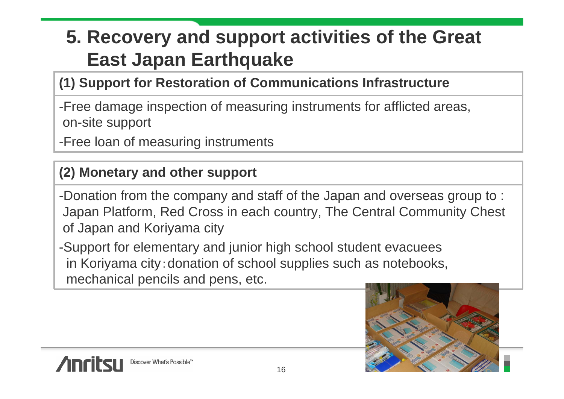### **5. Recovery and support activities of the Great East Japan Earthquake**

#### **(1) Support for Restoration of Communications Infrastructure**

-Free damage inspection of measuring instruments for afflicted areas, on-site support

-Free loan of measuring instruments

#### **(2) Monetary and other support**

-Donation from the company and staff of the Japan and overseas group to : Japan Platform, Red Cross in each country, The Central Community Chest of Japan and Koriyama city

-Support for elementary and junior high school student evacuees in Koriyama city:donation of school supplies such as notebooks, mechanical pencils and pens, etc.